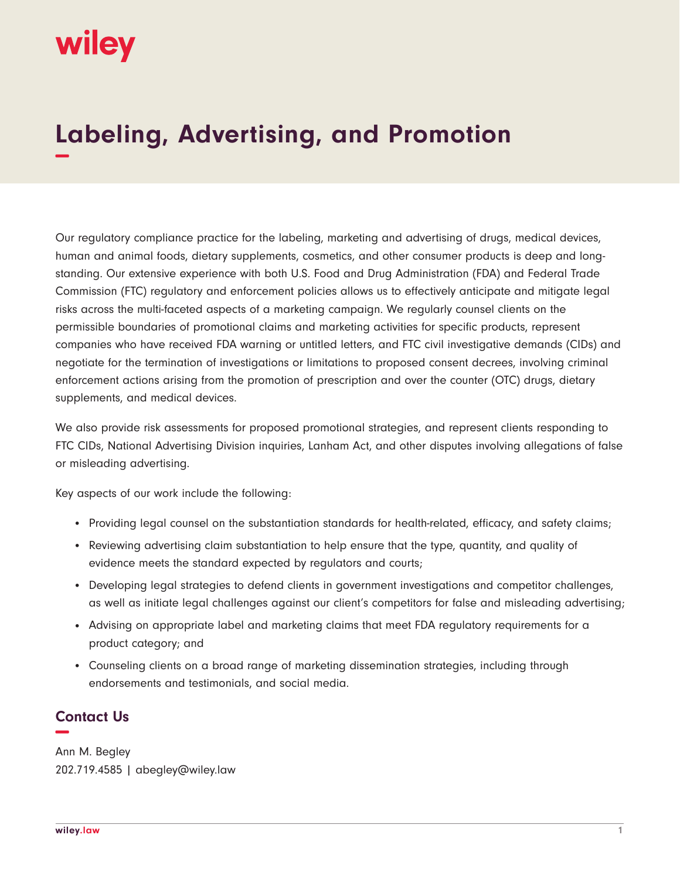## wiley

## **Labeling, Advertising, and Promotion −**

Our regulatory compliance practice for the labeling, marketing and advertising of drugs, medical devices, human and animal foods, dietary supplements, cosmetics, and other consumer products is deep and longstanding. Our extensive experience with both U.S. Food and Drug Administration (FDA) and Federal Trade Commission (FTC) regulatory and enforcement policies allows us to effectively anticipate and mitigate legal risks across the multi-faceted aspects of a marketing campaign. We regularly counsel clients on the permissible boundaries of promotional claims and marketing activities for specific products, represent companies who have received FDA warning or untitled letters, and FTC civil investigative demands (CIDs) and negotiate for the termination of investigations or limitations to proposed consent decrees, involving criminal enforcement actions arising from the promotion of prescription and over the counter (OTC) drugs, dietary supplements, and medical devices.

We also provide risk assessments for proposed promotional strategies, and represent clients responding to FTC CIDs, National Advertising Division inquiries, Lanham Act, and other disputes involving allegations of false or misleading advertising.

Key aspects of our work include the following:

- Providing legal counsel on the substantiation standards for health-related, efficacy, and safety claims;
- Reviewing advertising claim substantiation to help ensure that the type, quantity, and quality of evidence meets the standard expected by regulators and courts;
- Developing legal strategies to defend clients in government investigations and competitor challenges, as well as initiate legal challenges against our client's competitors for false and misleading advertising;
- Advising on appropriate label and marketing claims that meet FDA regulatory requirements for a product category; and
- Counseling clients on a broad range of marketing dissemination strategies, including through endorsements and testimonials, and social media.

## **Contact Us −**

Ann M. Begley 202.719.4585 | abegley@wiley.law